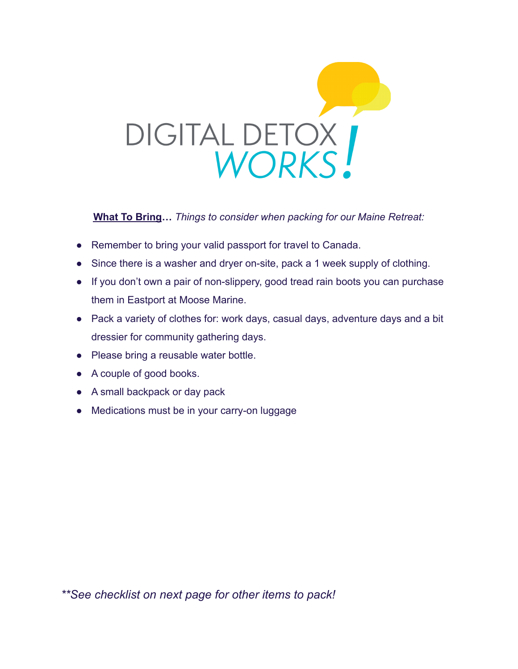

**What To Bring…** *Things to consider when packing for our Maine Retreat:*

- Remember to bring your valid passport for travel to Canada.
- Since there is a washer and dryer on-site, pack a 1 week supply of clothing.
- If you don't own a pair of non-slippery, good tread rain boots you can purchase them in Eastport at Moose Marine.
- Pack a variety of clothes for: work days, casual days, adventure days and a bit dressier for community gathering days.
- Please bring a reusable water bottle.
- A couple of good books.
- A small backpack or day pack
- Medications must be in your carry-on luggage

*\*\*See checklist on next page for other items to pack!*